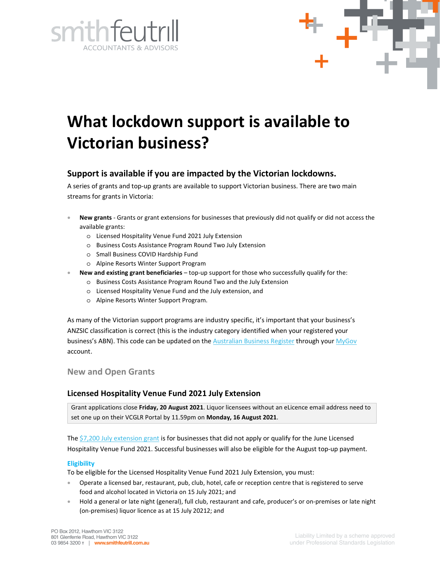



# **What lockdown support is available to Victorian business?**

## **Support is available if you are impacted by the Victorian lockdowns.**

A series of grants and top-up grants are available to support Victorian business. There are two main streams for grants in Victoria:

- **New grants** Grants or grant extensions for businesses that previously did not qualify or did not access the available grants:
	- o Licensed Hospitality Venue Fund 2021 July Extension
	- o Business Costs Assistance Program Round Two July Extension
	- o Small Business COVID Hardship Fund
	- o Alpine Resorts Winter Support Program
	- **New and existing grant beneficiaries** top-up support for those who successfully qualify for the:
		- o Business Costs Assistance Program Round Two and the July Extension
		- o Licensed Hospitality Venue Fund and the July extension, and
		- o Alpine Resorts Winter Support Program.

As many of the Victorian support programs are industry specific, it's important that your business's ANZSIC classification is correct (this is the industry category identified when your registered your business's ABN). This code can be updated on the Australian Business Register through your MyGov account.

## **New and Open Grants**

## **Licensed Hospitality Venue Fund 2021 July Extension**

Grant applications close **Friday, 20 August 2021**. Liquor licensees without an eLicence email address need to set one up on their VCGLR Portal by 11.59pm on **Monday, 16 August 2021**.

The \$7,200 July extension grant is for businesses that did not apply or qualify for the June Licensed Hospitality Venue Fund 2021. Successful businesses will also be eligible for the August top-up payment.

#### **Eligibility**

To be eligible for the Licensed Hospitality Venue Fund 2021 July Extension, you must:

- Operate a licensed bar, restaurant, pub, club, hotel, cafe or reception centre that is registered to serve food and alcohol located in Victoria on 15 July 2021; and
- Hold a general or late night (general), full club, restaurant and cafe, producer's or on-premises or late night (on-premises) liquor licence as at 15 July 20212; and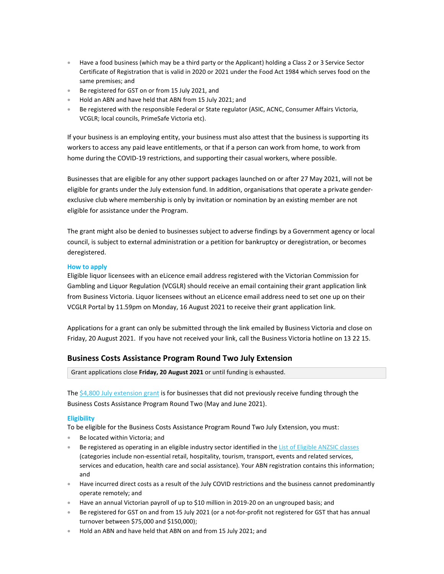- Have a food business (which may be a third party or the Applicant) holding a Class 2 or 3 Service Sector Certificate of Registration that is valid in 2020 or 2021 under the Food Act 1984 which serves food on the same premises; and
- Be registered for GST on or from 15 July 2021, and
- Hold an ABN and have held that ABN from 15 July 2021; and
- Be registered with the responsible Federal or State regulator (ASIC, ACNC, Consumer Affairs Victoria, VCGLR; local councils, PrimeSafe Victoria etc).

If your business is an employing entity, your business must also attest that the business is supporting its workers to access any paid leave entitlements, or that if a person can work from home, to work from home during the COVID-19 restrictions, and supporting their casual workers, where possible.

Businesses that are eligible for any other support packages launched on or after 27 May 2021, will not be eligible for grants under the July extension fund. In addition, organisations that operate a private genderexclusive club where membership is only by invitation or nomination by an existing member are not eligible for assistance under the Program.

The grant might also be denied to businesses subject to adverse findings by a Government agency or local council, is subject to external administration or a petition for bankruptcy or deregistration, or becomes deregistered.

#### **How to apply**

Eligible liquor licensees with an eLicence email address registered with the Victorian Commission for Gambling and Liquor Regulation (VCGLR) should receive an email containing their grant application link from Business Victoria. Liquor licensees without an eLicence email address need to set one up on their VCGLR Portal by 11.59pm on Monday, 16 August 2021 to receive their grant application link.

Applications for a grant can only be submitted through the link emailed by Business Victoria and close on Friday, 20 August 2021. If you have not received your link, call the Business Victoria hotline on 13 22 15.

## **Business Costs Assistance Program Round Two July Extension**

Grant applications close **Friday, 20 August 2021** or until funding is exhausted.

The  $$4,800$  July extension grant is for businesses that did not previously receive funding through the Business Costs Assistance Program Round Two (May and June 2021).

#### **Eligibility**

To be eligible for the Business Costs Assistance Program Round Two July Extension, you must:

- Be located within Victoria; and
- Be registered as operating in an eligible industry sector identified in the List of Eligible ANZSIC classes (categories include non-essential retail, hospitality, tourism, transport, events and related services, services and education, health care and social assistance). Your ABN registration contains this information; and
- Have incurred direct costs as a result of the July COVID restrictions and the business cannot predominantly operate remotely; and
- Have an annual Victorian payroll of up to \$10 million in 2019-20 on an ungrouped basis; and
- Be registered for GST on and from 15 July 2021 (or a not-for-profit not registered for GST that has annual turnover between \$75,000 and \$150,000);
- Hold an ABN and have held that ABN on and from 15 July 2021; and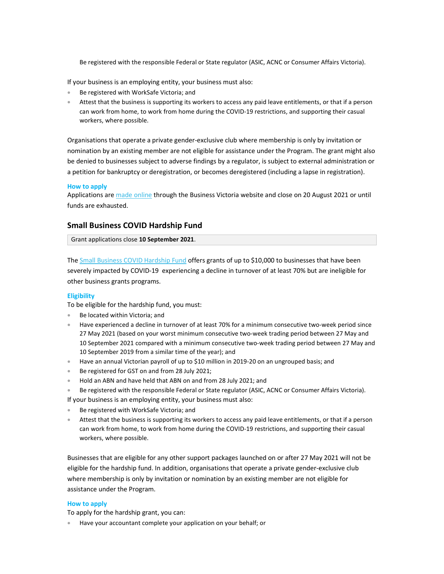Be registered with the responsible Federal or State regulator (ASIC, ACNC or Consumer Affairs Victoria).

If your business is an employing entity, your business must also:

- Be registered with WorkSafe Victoria; and
- Attest that the business is supporting its workers to access any paid leave entitlements, or that if a person can work from home, to work from home during the COVID-19 restrictions, and supporting their casual workers, where possible.

Organisations that operate a private gender-exclusive club where membership is only by invitation or nomination by an existing member are not eligible for assistance under the Program. The grant might also be denied to businesses subject to adverse findings by a regulator, is subject to external administration or a petition for bankruptcy or deregistration, or becomes deregistered (including a lapse in registration).

#### **How to apply**

Applications are made online through the Business Victoria website and close on 20 August 2021 or until funds are exhausted.

#### **Small Business COVID Hardship Fund**

Grant applications close **10 September 2021**.

The Small Business COVID Hardship Fund offers grants of up to \$10,000 to businesses that have been severely impacted by COVID-19 experiencing a decline in turnover of at least 70% but are ineligible for other business grants programs.

#### **Eligibility**

To be eligible for the hardship fund, you must:

- Be located within Victoria; and
- Have experienced a decline in turnover of at least 70% for a minimum consecutive two-week period since 27 May 2021 (based on your worst minimum consecutive two-week trading period between 27 May and 10 September 2021 compared with a minimum consecutive two-week trading period between 27 May and 10 September 2019 from a similar time of the year); and
- Have an annual Victorian payroll of up to \$10 million in 2019-20 on an ungrouped basis; and
- Be registered for GST on and from 28 July 2021;
- Hold an ABN and have held that ABN on and from 28 July 2021; and
- Be registered with the responsible Federal or State regulator (ASIC, ACNC or Consumer Affairs Victoria). If your business is an employing entity, your business must also:
- Be registered with WorkSafe Victoria; and
- Attest that the business is supporting its workers to access any paid leave entitlements, or that if a person can work from home, to work from home during the COVID-19 restrictions, and supporting their casual workers, where possible.

Businesses that are eligible for any other support packages launched on or after 27 May 2021 will not be eligible for the hardship fund. In addition, organisations that operate a private gender-exclusive club where membership is only by invitation or nomination by an existing member are not eligible for assistance under the Program.

#### **How to apply**

To apply for the hardship grant, you can:

• Have your accountant complete your application on your behalf; or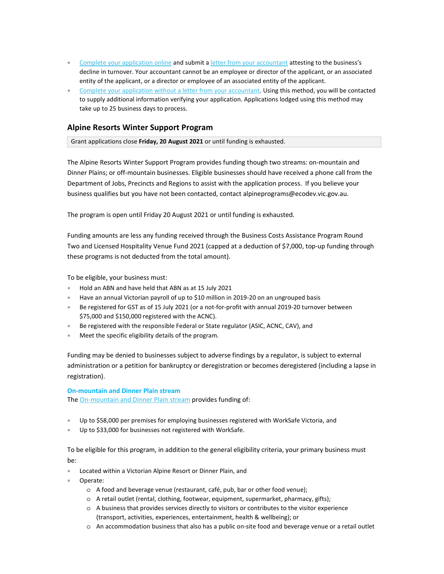- Complete your application online and submit a letter from your accountant attesting to the business's decline in turnover. Your accountant cannot be an employee or director of the applicant, or an associated entity of the applicant, or a director or employee of an associated entity of the applicant.
- Complete your application without a letter from your accountant. Using this method, you will be contacted to supply additional information verifying your application. Applications lodged using this method may take up to 25 business days to process.

## **Alpine Resorts Winter Support Program**

Grant applications close **Friday, 20 August 2021** or until funding is exhausted.

The Alpine Resorts Winter Support Program provides funding though two streams: on-mountain and Dinner Plains; or off-mountain businesses. Eligible businesses should have received a phone call from the Department of Jobs, Precincts and Regions to assist with the application process. If you believe your business qualifies but you have not been contacted, contact alpineprograms@ecodev.vic.gov.au.

The program is open until Friday 20 August 2021 or until funding is exhausted.

Funding amounts are less any funding received through the Business Costs Assistance Program Round Two and Licensed Hospitality Venue Fund 2021 (capped at a deduction of \$7,000, top-up funding through these programs is not deducted from the total amount).

To be eligible, your business must:

- Hold an ABN and have held that ABN as at 15 July 2021
- Have an annual Victorian payroll of up to \$10 million in 2019-20 on an ungrouped basis
- Be registered for GST as of 15 July 2021 (or a not-for-profit with annual 2019-20 turnover between \$75,000 and \$150,000 registered with the ACNC).
- Be registered with the responsible Federal or State regulator (ASIC, ACNC, CAV), and
- Meet the specific eligibility details of the program.

Funding may be denied to businesses subject to adverse findings by a regulator, is subject to external administration or a petition for bankruptcy or deregistration or becomes deregistered (including a lapse in registration).

#### **On-mountain and Dinner Plain stream**

The On-mountain and Dinner Plain stream provides funding of:

- Up to \$58,000 per premises for employing businesses registered with WorkSafe Victoria, and
- Up to \$33,000 for businesses not registered with WorkSafe.

To be eligible for this program, in addition to the general eligibility criteria, your primary business must be:

- Located within a Victorian Alpine Resort or Dinner Plain, and
- Operate:
	- o A food and beverage venue (restaurant, café, pub, bar or other food venue);
	- o A retail outlet (rental, clothing, footwear, equipment, supermarket, pharmacy, gifts);
	- o A business that provides services directly to visitors or contributes to the visitor experience (transport, activities, experiences, entertainment, health & wellbeing); or
	- o An accommodation business that also has a public on-site food and beverage venue or a retail outlet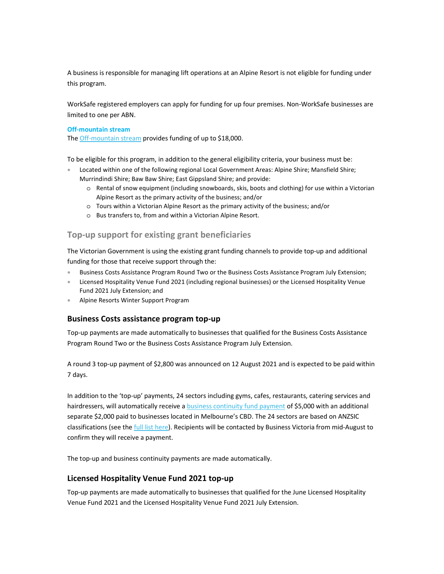A business is responsible for managing lift operations at an Alpine Resort is not eligible for funding under this program.

WorkSafe registered employers can apply for funding for up four premises. Non-WorkSafe businesses are limited to one per ABN.

#### **Off-mountain stream**

The Off-mountain stream provides funding of up to \$18,000.

To be eligible for this program, in addition to the general eligibility criteria, your business must be:

- Located within one of the following regional Local Government Areas: Alpine Shire; Mansfield Shire; Murrindindi Shire; Baw Baw Shire; East Gippsland Shire; and provide:
	- o Rental of snow equipment (including snowboards, skis, boots and clothing) for use within a Victorian Alpine Resort as the primary activity of the business; and/or
	- o Tours within a Victorian Alpine Resort as the primary activity of the business; and/or
	- o Bus transfers to, from and within a Victorian Alpine Resort.

## **Top-up support for existing grant beneficiaries**

The Victorian Government is using the existing grant funding channels to provide top-up and additional funding for those that receive support through the:

- Business Costs Assistance Program Round Two or the Business Costs Assistance Program July Extension;
- Licensed Hospitality Venue Fund 2021 (including regional businesses) or the Licensed Hospitality Venue Fund 2021 July Extension; and
- Alpine Resorts Winter Support Program

#### **Business Costs assistance program top-up**

Top-up payments are made automatically to businesses that qualified for the Business Costs Assistance Program Round Two or the Business Costs Assistance Program July Extension.

A round 3 top-up payment of \$2,800 was announced on 12 August 2021 and is expected to be paid within 7 days.

In addition to the 'top-up' payments, 24 sectors including gyms, cafes, restaurants, catering services and hairdressers, will automatically receive a **business continuity fund payment** of \$5,000 with an additional separate \$2,000 paid to businesses located in Melbourne's CBD. The 24 sectors are based on ANZSIC classifications (see the full list here). Recipients will be contacted by Business Victoria from mid-August to confirm they will receive a payment.

The top-up and business continuity payments are made automatically.

#### **Licensed Hospitality Venue Fund 2021 top-up**

Top-up payments are made automatically to businesses that qualified for the June Licensed Hospitality Venue Fund 2021 and the Licensed Hospitality Venue Fund 2021 July Extension.